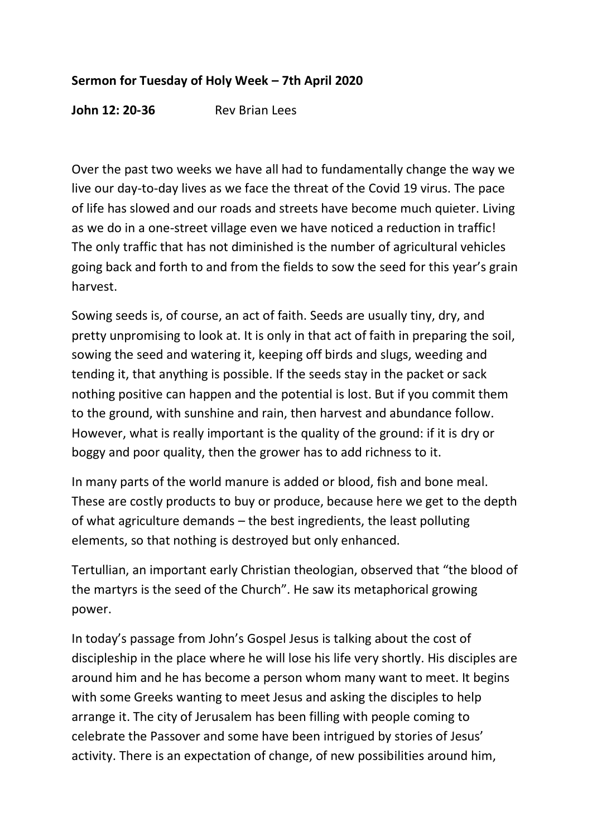## **Sermon for Tuesday of Holy Week – 7th April 2020**

**John 12: 20-36** Rev Brian Lees

Over the past two weeks we have all had to fundamentally change the way we live our day-to-day lives as we face the threat of the Covid 19 virus. The pace of life has slowed and our roads and streets have become much quieter. Living as we do in a one-street village even we have noticed a reduction in traffic! The only traffic that has not diminished is the number of agricultural vehicles going back and forth to and from the fields to sow the seed for this year's grain harvest.

Sowing seeds is, of course, an act of faith. Seeds are usually tiny, dry, and pretty unpromising to look at. It is only in that act of faith in preparing the soil, sowing the seed and watering it, keeping off birds and slugs, weeding and tending it, that anything is possible. If the seeds stay in the packet or sack nothing positive can happen and the potential is lost. But if you commit them to the ground, with sunshine and rain, then harvest and abundance follow. However, what is really important is the quality of the ground: if it is dry or boggy and poor quality, then the grower has to add richness to it.

In many parts of the world manure is added or blood, fish and bone meal. These are costly products to buy or produce, because here we get to the depth of what agriculture demands – the best ingredients, the least polluting elements, so that nothing is destroyed but only enhanced.

Tertullian, an important early Christian theologian, observed that "the blood of the martyrs is the seed of the Church". He saw its metaphorical growing power.

In today's passage from John's Gospel Jesus is talking about the cost of discipleship in the place where he will lose his life very shortly. His disciples are around him and he has become a person whom many want to meet. It begins with some Greeks wanting to meet Jesus and asking the disciples to help arrange it. The city of Jerusalem has been filling with people coming to celebrate the Passover and some have been intrigued by stories of Jesus' activity. There is an expectation of change, of new possibilities around him,